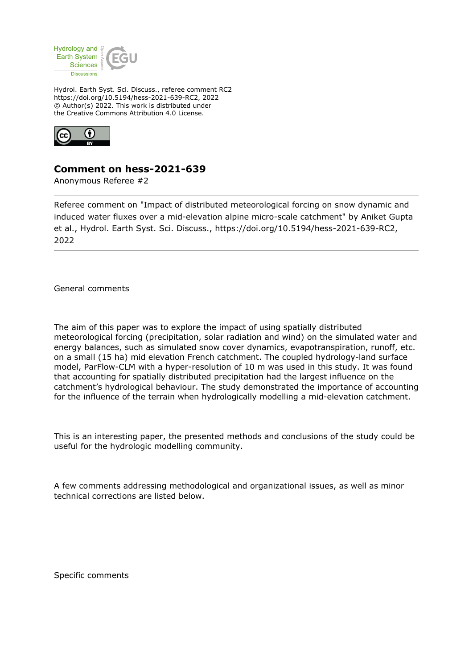

Hydrol. Earth Syst. Sci. Discuss., referee comment RC2 https://doi.org/10.5194/hess-2021-639-RC2, 2022 © Author(s) 2022. This work is distributed under the Creative Commons Attribution 4.0 License.



## **Comment on hess-2021-639**

Anonymous Referee #2

Referee comment on "Impact of distributed meteorological forcing on snow dynamic and induced water fluxes over a mid-elevation alpine micro-scale catchment" by Aniket Gupta et al., Hydrol. Earth Syst. Sci. Discuss., https://doi.org/10.5194/hess-2021-639-RC2, 2022

General comments

The aim of this paper was to explore the impact of using spatially distributed meteorological forcing (precipitation, solar radiation and wind) on the simulated water and energy balances, such as simulated snow cover dynamics, evapotranspiration, runoff, etc. on a small (15 ha) mid elevation French catchment. The coupled hydrology-land surface model, ParFlow-CLM with a hyper-resolution of 10 m was used in this study. It was found that accounting for spatially distributed precipitation had the largest influence on the catchment's hydrological behaviour. The study demonstrated the importance of accounting for the influence of the terrain when hydrologically modelling a mid-elevation catchment.

This is an interesting paper, the presented methods and conclusions of the study could be useful for the hydrologic modelling community.

A few comments addressing methodological and organizational issues, as well as minor technical corrections are listed below.

Specific comments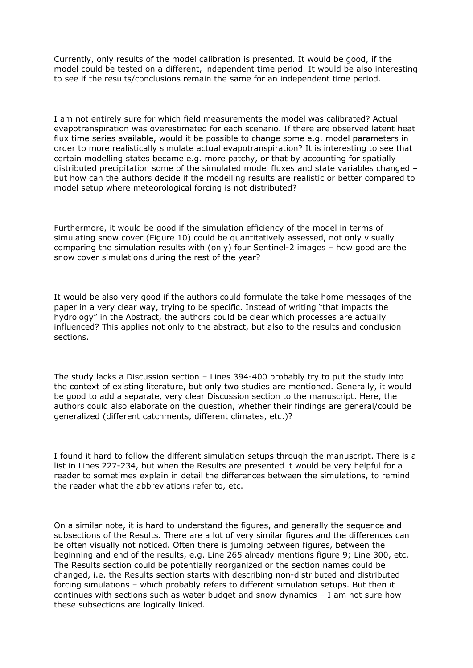Currently, only results of the model calibration is presented. It would be good, if the model could be tested on a different, independent time period. It would be also interesting to see if the results/conclusions remain the same for an independent time period.

I am not entirely sure for which field measurements the model was calibrated? Actual evapotranspiration was overestimated for each scenario. If there are observed latent heat flux time series available, would it be possible to change some e.g. model parameters in order to more realistically simulate actual evapotranspiration? It is interesting to see that certain modelling states became e.g. more patchy, or that by accounting for spatially distributed precipitation some of the simulated model fluxes and state variables changed – but how can the authors decide if the modelling results are realistic or better compared to model setup where meteorological forcing is not distributed?

Furthermore, it would be good if the simulation efficiency of the model in terms of simulating snow cover (Figure 10) could be quantitatively assessed, not only visually comparing the simulation results with (only) four Sentinel-2 images – how good are the snow cover simulations during the rest of the year?

It would be also very good if the authors could formulate the take home messages of the paper in a very clear way, trying to be specific. Instead of writing "that impacts the hydrology" in the Abstract, the authors could be clear which processes are actually influenced? This applies not only to the abstract, but also to the results and conclusion sections.

The study lacks a Discussion section – Lines 394-400 probably try to put the study into the context of existing literature, but only two studies are mentioned. Generally, it would be good to add a separate, very clear Discussion section to the manuscript. Here, the authors could also elaborate on the question, whether their findings are general/could be generalized (different catchments, different climates, etc.)?

I found it hard to follow the different simulation setups through the manuscript. There is a list in Lines 227-234, but when the Results are presented it would be very helpful for a reader to sometimes explain in detail the differences between the simulations, to remind the reader what the abbreviations refer to, etc.

On a similar note, it is hard to understand the figures, and generally the sequence and subsections of the Results. There are a lot of very similar figures and the differences can be often visually not noticed. Often there is jumping between figures, between the beginning and end of the results, e.g. Line 265 already mentions figure 9; Line 300, etc. The Results section could be potentially reorganized or the section names could be changed, i.e. the Results section starts with describing non-distributed and distributed forcing simulations – which probably refers to different simulation setups. But then it continues with sections such as water budget and snow dynamics – I am not sure how these subsections are logically linked.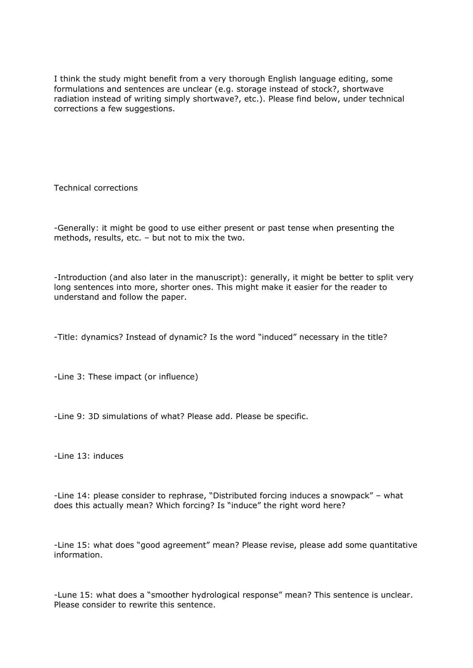I think the study might benefit from a very thorough English language editing, some formulations and sentences are unclear (e.g. storage instead of stock?, shortwave radiation instead of writing simply shortwave?, etc.). Please find below, under technical corrections a few suggestions.

Technical corrections

-Generally: it might be good to use either present or past tense when presenting the methods, results, etc. – but not to mix the two.

-Introduction (and also later in the manuscript): generally, it might be better to split very long sentences into more, shorter ones. This might make it easier for the reader to understand and follow the paper.

-Title: dynamics? Instead of dynamic? Is the word "induced" necessary in the title?

-Line 3: These impact (or influence)

-Line 9: 3D simulations of what? Please add. Please be specific.

-Line 13: induces

-Line 14: please consider to rephrase, "Distributed forcing induces a snowpack" – what does this actually mean? Which forcing? Is "induce" the right word here?

-Line 15: what does "good agreement" mean? Please revise, please add some quantitative information.

-Lune 15: what does a "smoother hydrological response" mean? This sentence is unclear. Please consider to rewrite this sentence.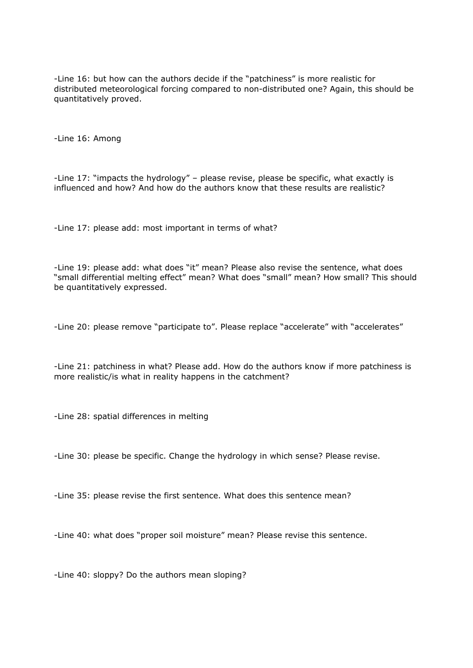-Line 16: but how can the authors decide if the "patchiness" is more realistic for distributed meteorological forcing compared to non-distributed one? Again, this should be quantitatively proved.

-Line 16: Among

-Line 17: "impacts the hydrology" – please revise, please be specific, what exactly is influenced and how? And how do the authors know that these results are realistic?

-Line 17: please add: most important in terms of what?

-Line 19: please add: what does "it" mean? Please also revise the sentence, what does "small differential melting effect" mean? What does "small" mean? How small? This should be quantitatively expressed.

-Line 20: please remove "participate to". Please replace "accelerate" with "accelerates"

-Line 21: patchiness in what? Please add. How do the authors know if more patchiness is more realistic/is what in reality happens in the catchment?

-Line 28: spatial differences in melting

-Line 30: please be specific. Change the hydrology in which sense? Please revise.

-Line 35: please revise the first sentence. What does this sentence mean?

-Line 40: what does "proper soil moisture" mean? Please revise this sentence.

-Line 40: sloppy? Do the authors mean sloping?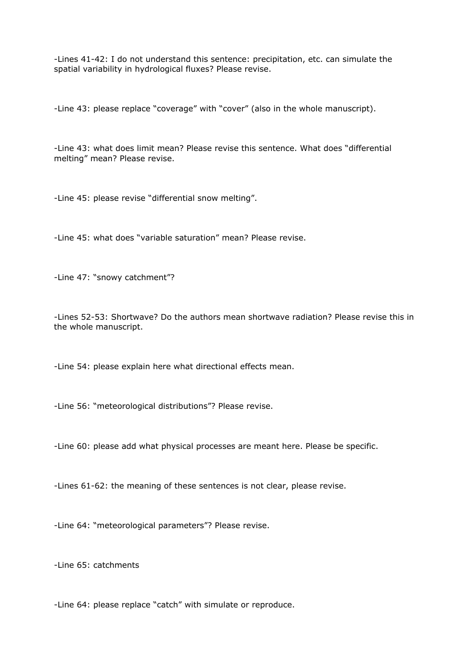-Lines 41-42: I do not understand this sentence: precipitation, etc. can simulate the spatial variability in hydrological fluxes? Please revise.

-Line 43: please replace "coverage" with "cover" (also in the whole manuscript).

-Line 43: what does limit mean? Please revise this sentence. What does "differential melting" mean? Please revise.

-Line 45: please revise "differential snow melting".

-Line 45: what does "variable saturation" mean? Please revise.

-Line 47: "snowy catchment"?

-Lines 52-53: Shortwave? Do the authors mean shortwave radiation? Please revise this in the whole manuscript.

-Line 54: please explain here what directional effects mean.

-Line 56: "meteorological distributions"? Please revise.

-Line 60: please add what physical processes are meant here. Please be specific.

-Lines 61-62: the meaning of these sentences is not clear, please revise.

-Line 64: "meteorological parameters"? Please revise.

-Line 65: catchments

-Line 64: please replace "catch" with simulate or reproduce.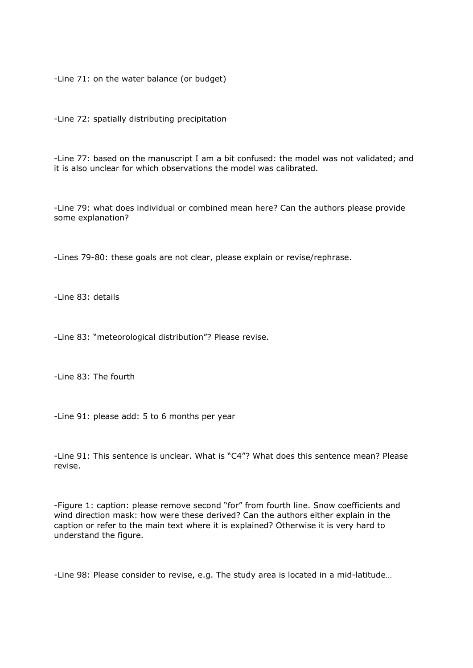-Line 71: on the water balance (or budget)

-Line 72: spatially distributing precipitation

-Line 77: based on the manuscript I am a bit confused: the model was not validated; and it is also unclear for which observations the model was calibrated.

-Line 79: what does individual or combined mean here? Can the authors please provide some explanation?

-Lines 79-80: these goals are not clear, please explain or revise/rephrase.

-Line 83: details

-Line 83: "meteorological distribution"? Please revise.

-Line 83: The fourth

-Line 91: please add: 5 to 6 months per year

-Line 91: This sentence is unclear. What is "C4"? What does this sentence mean? Please revise.

-Figure 1: caption: please remove second "for" from fourth line. Snow coefficients and wind direction mask: how were these derived? Can the authors either explain in the caption or refer to the main text where it is explained? Otherwise it is very hard to understand the figure.

-Line 98: Please consider to revise, e.g. The study area is located in a mid-latitude…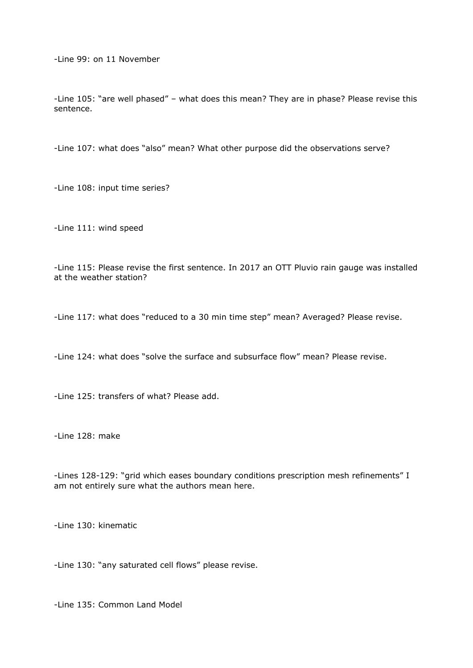-Line 99: on 11 November

-Line 105: "are well phased" – what does this mean? They are in phase? Please revise this sentence.

-Line 107: what does "also" mean? What other purpose did the observations serve?

-Line 108: input time series?

-Line 111: wind speed

-Line 115: Please revise the first sentence. In 2017 an OTT Pluvio rain gauge was installed at the weather station?

-Line 117: what does "reduced to a 30 min time step" mean? Averaged? Please revise.

-Line 124: what does "solve the surface and subsurface flow" mean? Please revise.

-Line 125: transfers of what? Please add.

-Line 128: make

-Lines 128-129: "grid which eases boundary conditions prescription mesh refinements" I am not entirely sure what the authors mean here.

-Line 130: kinematic

-Line 130: "any saturated cell flows" please revise.

-Line 135: Common Land Model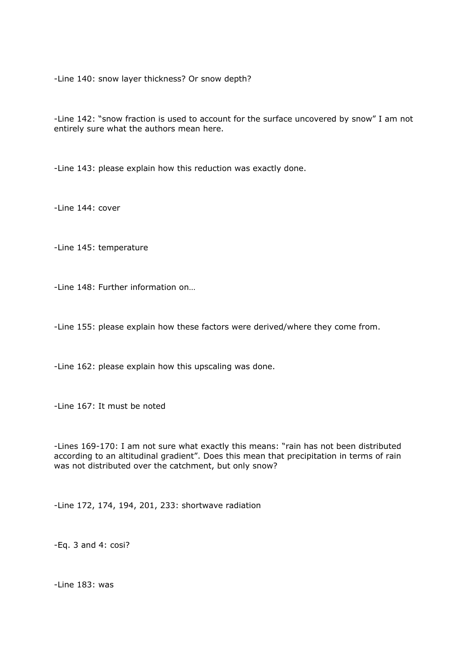-Line 140: snow layer thickness? Or snow depth?

-Line 142: "snow fraction is used to account for the surface uncovered by snow" I am not entirely sure what the authors mean here.

-Line 143: please explain how this reduction was exactly done.

 $-$ Line  $144$ : cover

-Line 145: temperature

-Line 148: Further information on…

-Line 155: please explain how these factors were derived/where they come from.

-Line 162: please explain how this upscaling was done.

-Line 167: It must be noted

-Lines 169-170: I am not sure what exactly this means: "rain has not been distributed according to an altitudinal gradient". Does this mean that precipitation in terms of rain was not distributed over the catchment, but only snow?

-Line 172, 174, 194, 201, 233: shortwave radiation

-Eq. 3 and 4: cosi?

-Line 183: was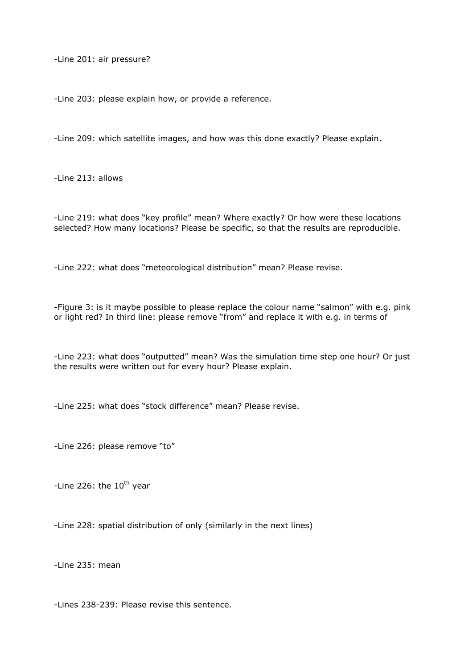-Line 201: air pressure?

-Line 203: please explain how, or provide a reference.

-Line 209: which satellite images, and how was this done exactly? Please explain.

-Line 213: allows

-Line 219: what does "key profile" mean? Where exactly? Or how were these locations selected? How many locations? Please be specific, so that the results are reproducible.

-Line 222: what does "meteorological distribution" mean? Please revise.

-Figure 3: is it maybe possible to please replace the colour name "salmon" with e.g. pink or light red? In third line: please remove "from" and replace it with e.g. in terms of

-Line 223: what does "outputted" mean? Was the simulation time step one hour? Or just the results were written out for every hour? Please explain.

-Line 225: what does "stock difference" mean? Please revise.

-Line 226: please remove "to"

-Line 226: the  $10^{th}$  year

-Line 228: spatial distribution of only (similarly in the next lines)

-Line 235: mean

-Lines 238-239: Please revise this sentence.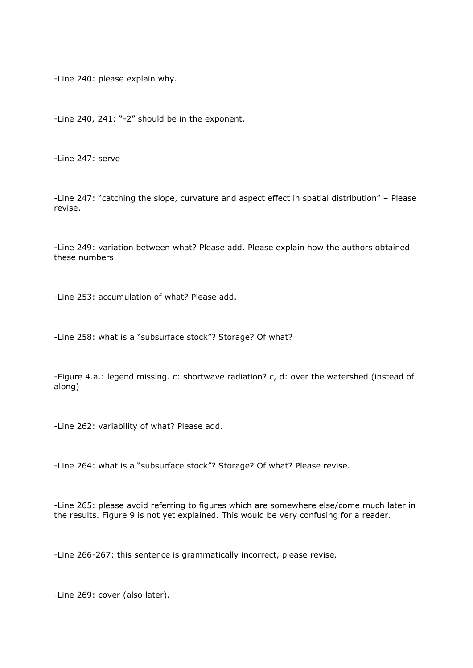-Line 240: please explain why.

-Line 240, 241: "-2" should be in the exponent.

-Line 247: serve

-Line 247: "catching the slope, curvature and aspect effect in spatial distribution" – Please revise.

-Line 249: variation between what? Please add. Please explain how the authors obtained these numbers.

-Line 253: accumulation of what? Please add.

-Line 258: what is a "subsurface stock"? Storage? Of what?

-Figure 4.a.: legend missing. c: shortwave radiation? c, d: over the watershed (instead of along)

-Line 262: variability of what? Please add.

-Line 264: what is a "subsurface stock"? Storage? Of what? Please revise.

-Line 265: please avoid referring to figures which are somewhere else/come much later in the results. Figure 9 is not yet explained. This would be very confusing for a reader.

-Line 266-267: this sentence is grammatically incorrect, please revise.

-Line 269: cover (also later).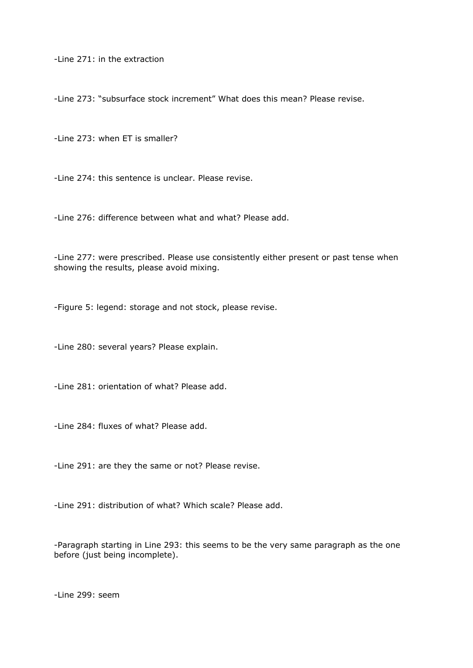$-$ Line 271: in the extraction

-Line 273: "subsurface stock increment" What does this mean? Please revise.

-Line 273: when ET is smaller?

-Line 274: this sentence is unclear. Please revise.

-Line 276: difference between what and what? Please add.

-Line 277: were prescribed. Please use consistently either present or past tense when showing the results, please avoid mixing.

-Figure 5: legend: storage and not stock, please revise.

-Line 280: several years? Please explain.

-Line 281: orientation of what? Please add.

-Line 284: fluxes of what? Please add.

-Line 291: are they the same or not? Please revise.

-Line 291: distribution of what? Which scale? Please add.

-Paragraph starting in Line 293: this seems to be the very same paragraph as the one before (just being incomplete).

-Line 299: seem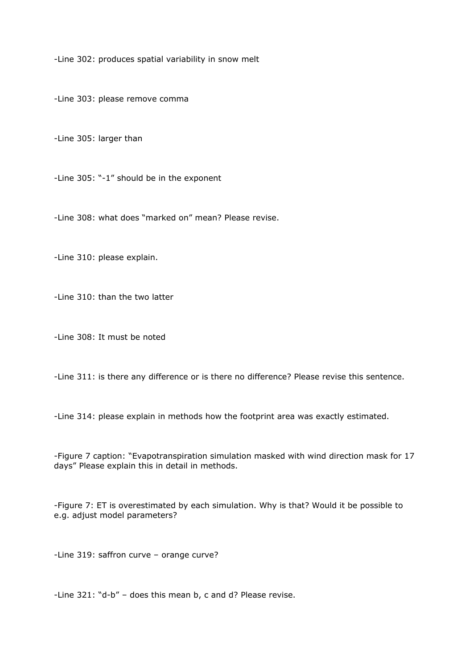-Line 302: produces spatial variability in snow melt

-Line 303: please remove comma

-Line 305: larger than

-Line 305: "-1" should be in the exponent

-Line 308: what does "marked on" mean? Please revise.

-Line 310: please explain.

-Line 310: than the two latter

-Line 308: It must be noted

-Line 311: is there any difference or is there no difference? Please revise this sentence.

-Line 314: please explain in methods how the footprint area was exactly estimated.

-Figure 7 caption: "Evapotranspiration simulation masked with wind direction mask for 17 days" Please explain this in detail in methods.

-Figure 7: ET is overestimated by each simulation. Why is that? Would it be possible to e.g. adjust model parameters?

-Line 319: saffron curve – orange curve?

-Line 321: "d-b" – does this mean b, c and d? Please revise.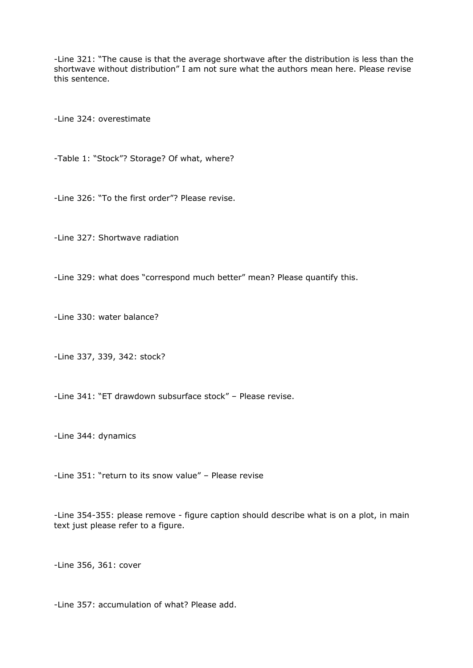-Line 321: "The cause is that the average shortwave after the distribution is less than the shortwave without distribution" I am not sure what the authors mean here. Please revise this sentence.

-Line 324: overestimate

-Table 1: "Stock"? Storage? Of what, where?

-Line 326: "To the first order"? Please revise.

-Line 327: Shortwave radiation

-Line 329: what does "correspond much better" mean? Please quantify this.

-Line 330: water balance?

-Line 337, 339, 342: stock?

-Line 341: "ET drawdown subsurface stock" – Please revise.

-Line 344: dynamics

-Line 351: "return to its snow value" – Please revise

-Line 354-355: please remove - figure caption should describe what is on a plot, in main text just please refer to a figure.

-Line 356, 361: cover

-Line 357: accumulation of what? Please add.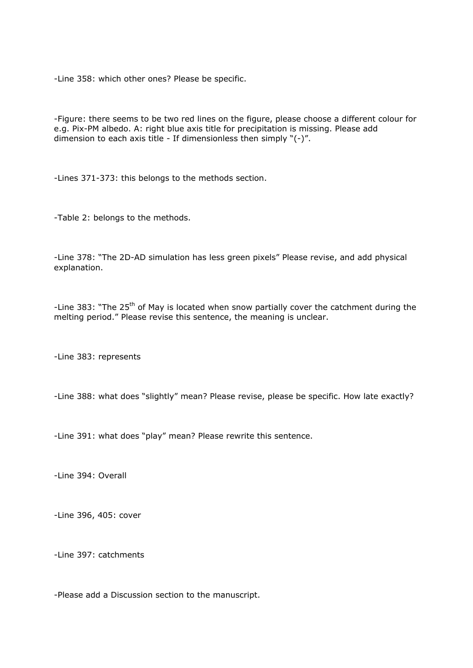-Line 358: which other ones? Please be specific.

-Figure: there seems to be two red lines on the figure, please choose a different colour for e.g. Pix-PM albedo. A: right blue axis title for precipitation is missing. Please add dimension to each axis title - If dimensionless then simply "(-)".

-Lines 371-373: this belongs to the methods section.

-Table 2: belongs to the methods.

-Line 378: "The 2D-AD simulation has less green pixels" Please revise, and add physical explanation.

-Line 383: "The 25<sup>th</sup> of May is located when snow partially cover the catchment during the melting period." Please revise this sentence, the meaning is unclear.

-Line 383: represents

-Line 388: what does "slightly" mean? Please revise, please be specific. How late exactly?

-Line 391: what does "play" mean? Please rewrite this sentence.

-Line 394: Overall

-Line 396, 405: cover

-Line 397: catchments

-Please add a Discussion section to the manuscript.